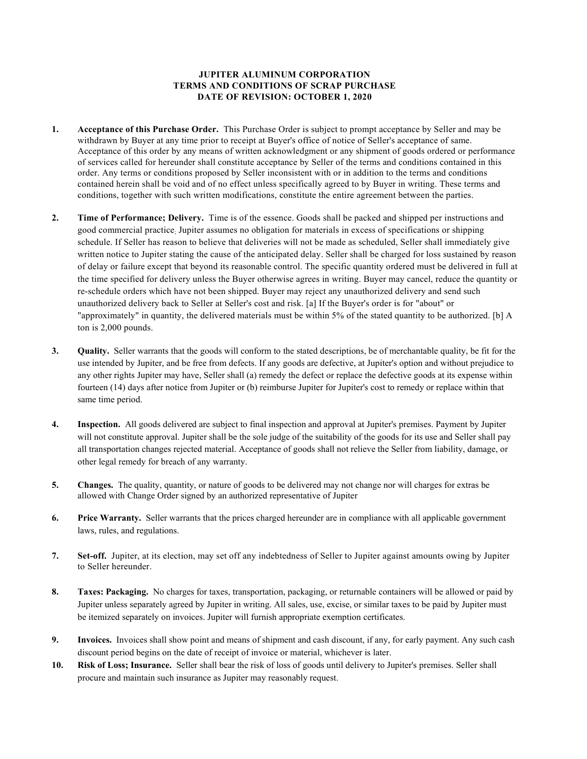## JUPITER ALUMINUM CORPORATION TERMS AND CONDITIONS OF SCRAP PURCHASE DATE OF REVISION: OCTOBER 1, 2020

- 1. Acceptance of this Purchase Order. This Purchase Order is subject to prompt acceptance by Seller and may be withdrawn by Buyer at any time prior to receipt at Buyer's office of notice of Seller's acceptance of same. Acceptance of this order by any means of written acknowledgment or any shipment of goods ordered or performance of services called for hereunder shall constitute acceptance by Seller of the terms and conditions contained in this order. Any terms or conditions proposed by Seller inconsistent with or in addition to the terms and conditions contained herein shall be void and of no effect unless specifically agreed to by Buyer in writing. These terms and conditions, together with such written modifications, constitute the entire agreement between the parties.
- 2. Time of Performance; Delivery. Time is of the essence. Goods shall be packed and shipped per instructions and good commercial practice; Jupiter assumes no obligation for materials in excess of specifications or shipping schedule. If Seller has reason to believe that deliveries will not be made as scheduled, Seller shall immediately give written notice to Jupiter stating the cause of the anticipated delay. Seller shall be charged for loss sustained by reason of delay or failure except that beyond its reasonable control. The specific quantity ordered must be delivered in full at the time specified for delivery unless the Buyer otherwise agrees in writing. Buyer may cancel, reduce the quantity or re-schedule orders which have not been shipped. Buyer may reject any unauthorized delivery and send such unauthorized delivery back to Seller at Seller's cost and risk. [a] If the Buyer's order is for "about" or "approximately" in quantity, the delivered materials must be within 5% of the stated quantity to be authorized. [b] A ton is 2,000 pounds.
- 3. Quality. Seller warrants that the goods will conform to the stated descriptions, be of merchantable quality, be fit for the use intended by Jupiter, and be free from defects. If any goods are defective, at Jupiter's option and without prejudice to any other rights Jupiter may have, Seller shall (a) remedy the defect or replace the defective goods at its expense within fourteen (14) days after notice from Jupiter or (b) reimburse Jupiter for Jupiter's cost to remedy or replace within that same time period.
- 4. Inspection. All goods delivered are subject to final inspection and approval at Jupiter's premises. Payment by Jupiter will not constitute approval. Jupiter shall be the sole judge of the suitability of the goods for its use and Seller shall pay all transportation changes rejected material. Acceptance of goods shall not relieve the Seller from liability, damage, or other legal remedy for breach of any warranty.
- 5. Changes. The quality, quantity, or nature of goods to be delivered may not change nor will charges for extras be allowed with Change Order signed by an authorized representative of Jupiter
- 6. Price Warranty. Seller warrants that the prices charged hereunder are in compliance with all applicable government laws, rules, and regulations.
- 7. Set-off. Jupiter, at its election, may set off any indebtedness of Seller to Jupiter against amounts owing by Jupiter to Seller hereunder.
- 8. Taxes: Packaging. No charges for taxes, transportation, packaging, or returnable containers will be allowed or paid by Jupiter unless separately agreed by Jupiter in writing. All sales, use, excise, or similar taxes to be paid by Jupiter must be itemized separately on invoices. Jupiter will furnish appropriate exemption certificates.
- 9. Invoices. Invoices shall show point and means of shipment and cash discount, if any, for early payment. Any such cash discount period begins on the date of receipt of invoice or material, whichever is later.
- 10. Risk of Loss; Insurance. Seller shall bear the risk of loss of goods until delivery to Jupiter's premises. Seller shall procure and maintain such insurance as Jupiter may reasonably request.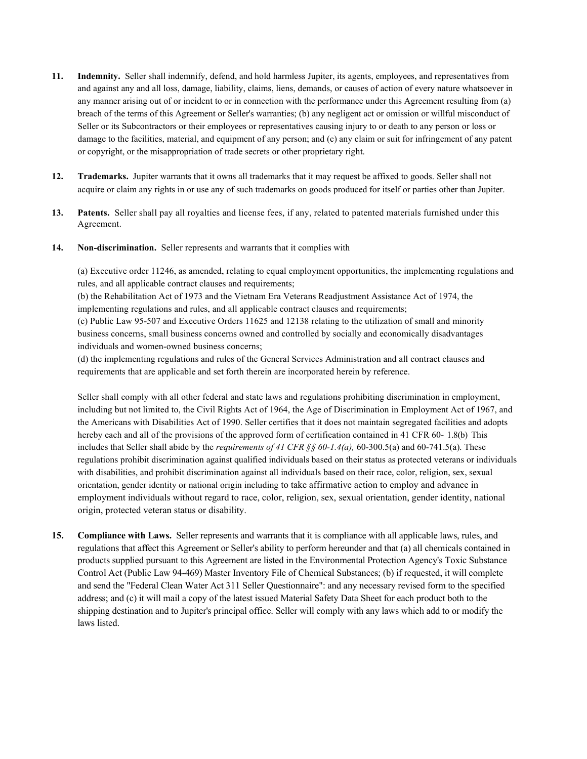- 11. Indemnity. Seller shall indemnify, defend, and hold harmless Jupiter, its agents, employees, and representatives from and against any and all loss, damage, liability, claims, liens, demands, or causes of action of every nature whatsoever in any manner arising out of or incident to or in connection with the performance under this Agreement resulting from (a) breach of the terms of this Agreement or Seller's warranties; (b) any negligent act or omission or willful misconduct of Seller or its Subcontractors or their employees or representatives causing injury to or death to any person or loss or damage to the facilities, material, and equipment of any person; and (c) any claim or suit for infringement of any patent or copyright, or the misappropriation of trade secrets or other proprietary right.
- 12. Trademarks. Jupiter warrants that it owns all trademarks that it may request be affixed to goods. Seller shall not acquire or claim any rights in or use any of such trademarks on goods produced for itself or parties other than Jupiter.
- 13. Patents. Seller shall pay all royalties and license fees, if any, related to patented materials furnished under this Agreement.
- 14. Non-discrimination. Seller represents and warrants that it complies with

(a) Executive order 11246, as amended, relating to equal employment opportunities, the implementing regulations and rules, and all applicable contract clauses and requirements;

(b) the Rehabilitation Act of 1973 and the Vietnam Era Veterans Readjustment Assistance Act of 1974, the implementing regulations and rules, and all applicable contract clauses and requirements;

(c) Public Law 95-507 and Executive Orders 11625 and 12138 relating to the utilization of small and minority business concerns, small business concerns owned and controlled by socially and economically disadvantages individuals and women-owned business concerns;

(d) the implementing regulations and rules of the General Services Administration and all contract clauses and requirements that are applicable and set forth therein are incorporated herein by reference.

Seller shall comply with all other federal and state laws and regulations prohibiting discrimination in employment, including but not limited to, the Civil Rights Act of 1964, the Age of Discrimination in Employment Act of 1967, and the Americans with Disabilities Act of 1990. Seller certifies that it does not maintain segregated facilities and adopts hereby each and all of the provisions of the approved form of certification contained in 41 CFR 60- 1.8(b) This includes that Seller shall abide by the *requirements of 41 CFR §§ 60-1.4(a)*, 60-300.5(a) and 60-741.5(a). These regulations prohibit discrimination against qualified individuals based on their status as protected veterans or individuals with disabilities, and prohibit discrimination against all individuals based on their race, color, religion, sex, sexual orientation, gender identity or national origin including to take affirmative action to employ and advance in employment individuals without regard to race, color, religion, sex, sexual orientation, gender identity, national origin, protected veteran status or disability.

15. Compliance with Laws. Seller represents and warrants that it is compliance with all applicable laws, rules, and regulations that affect this Agreement or Seller's ability to perform hereunder and that (a) all chemicals contained in products supplied pursuant to this Agreement are listed in the Environmental Protection Agency's Toxic Substance Control Act (Public Law 94-469) Master Inventory File of Chemical Substances; (b) if requested, it will complete and send the "Federal Clean Water Act 311 Seller Questionnaire": and any necessary revised form to the specified address; and (c) it will mail a copy of the latest issued Material Safety Data Sheet for each product both to the shipping destination and to Jupiter's principal office. Seller will comply with any laws which add to or modify the laws listed.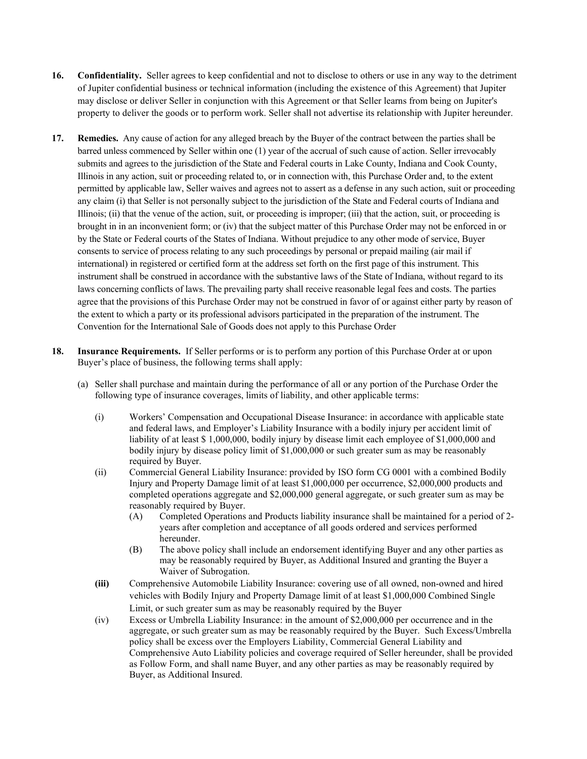- 16. Confidentiality. Seller agrees to keep confidential and not to disclose to others or use in any way to the detriment of Jupiter confidential business or technical information (including the existence of this Agreement) that Jupiter may disclose or deliver Seller in conjunction with this Agreement or that Seller learns from being on Jupiter's property to deliver the goods or to perform work. Seller shall not advertise its relationship with Jupiter hereunder.
- 17. Remedies. Any cause of action for any alleged breach by the Buyer of the contract between the parties shall be barred unless commenced by Seller within one (1) year of the accrual of such cause of action. Seller irrevocably submits and agrees to the jurisdiction of the State and Federal courts in Lake County, Indiana and Cook County, Illinois in any action, suit or proceeding related to, or in connection with, this Purchase Order and, to the extent permitted by applicable law, Seller waives and agrees not to assert as a defense in any such action, suit or proceeding any claim (i) that Seller is not personally subject to the jurisdiction of the State and Federal courts of Indiana and Illinois; (ii) that the venue of the action, suit, or proceeding is improper; (iii) that the action, suit, or proceeding is brought in in an inconvenient form; or (iv) that the subject matter of this Purchase Order may not be enforced in or by the State or Federal courts of the States of Indiana. Without prejudice to any other mode of service, Buyer consents to service of process relating to any such proceedings by personal or prepaid mailing (air mail if international) in registered or certified form at the address set forth on the first page of this instrument. This instrument shall be construed in accordance with the substantive laws of the State of Indiana, without regard to its laws concerning conflicts of laws. The prevailing party shall receive reasonable legal fees and costs. The parties agree that the provisions of this Purchase Order may not be construed in favor of or against either party by reason of the extent to which a party or its professional advisors participated in the preparation of the instrument. The Convention for the International Sale of Goods does not apply to this Purchase Order
- 18. Insurance Requirements. If Seller performs or is to perform any portion of this Purchase Order at or upon Buyer's place of business, the following terms shall apply:
	- (a) Seller shall purchase and maintain during the performance of all or any portion of the Purchase Order the following type of insurance coverages, limits of liability, and other applicable terms:
		- (i) Workers' Compensation and Occupational Disease Insurance: in accordance with applicable state and federal laws, and Employer's Liability Insurance with a bodily injury per accident limit of liability of at least \$ 1,000,000, bodily injury by disease limit each employee of \$1,000,000 and bodily injury by disease policy limit of \$1,000,000 or such greater sum as may be reasonably required by Buyer.
		- (ii) Commercial General Liability Insurance: provided by ISO form CG 0001 with a combined Bodily Injury and Property Damage limit of at least \$1,000,000 per occurrence, \$2,000,000 products and completed operations aggregate and \$2,000,000 general aggregate, or such greater sum as may be reasonably required by Buyer.
			- (A) Completed Operations and Products liability insurance shall be maintained for a period of 2 years after completion and acceptance of all goods ordered and services performed hereunder.
			- (B) The above policy shall include an endorsement identifying Buyer and any other parties as may be reasonably required by Buyer, as Additional Insured and granting the Buyer a Waiver of Subrogation.
		- (iii) Comprehensive Automobile Liability Insurance: covering use of all owned, non-owned and hired vehicles with Bodily Injury and Property Damage limit of at least \$1,000,000 Combined Single Limit, or such greater sum as may be reasonably required by the Buyer
		- (iv) Excess or Umbrella Liability Insurance: in the amount of \$2,000,000 per occurrence and in the aggregate, or such greater sum as may be reasonably required by the Buyer. Such Excess/Umbrella policy shall be excess over the Employers Liability, Commercial General Liability and Comprehensive Auto Liability policies and coverage required of Seller hereunder, shall be provided as Follow Form, and shall name Buyer, and any other parties as may be reasonably required by Buyer, as Additional Insured.